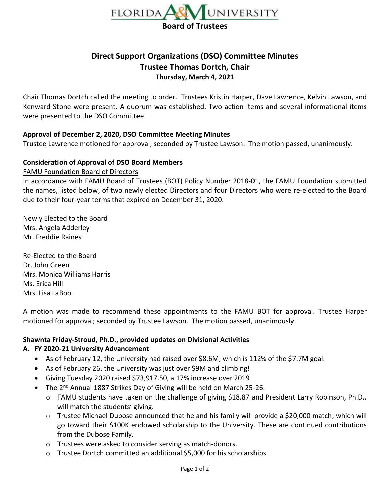

# **Direct Support Organizations (DSO) Committee Minutes Trustee Thomas Dortch, Chair Thursday, March 4, 2021**

Chair Thomas Dortch called the meeting to order. Trustees Kristin Harper, Dave Lawrence, Kelvin Lawson, and Kenward Stone were present. A quorum was established. Two action items and several informational items were presented to the DSO Committee.

### **Approval of December 2, 2020, DSO Committee Meeting Minutes**

Trustee Lawrence motioned for approval; seconded by Trustee Lawson. The motion passed, unanimously.

# **Consideration of Approval of DSO Board Members**

#### FAMU Foundation Board of Directors

In accordance with FAMU Board of Trustees (BOT) Policy Number 2018-01, the FAMU Foundation submitted the names, listed below, of two newly elected Directors and four Directors who were re-elected to the Board due to their four-year terms that expired on December 31, 2020.

# Newly Elected to the Board

Mrs. Angela Adderley Mr. Freddie Raines

Re-Elected to the Board Dr. John Green Mrs. Monica Williams Harris Ms. Erica Hill Mrs. Lisa LaBoo

A motion was made to recommend these appointments to the FAMU BOT for approval. Trustee Harper motioned for approval; seconded by Trustee Lawson. The motion passed, unanimously.

### **Shawnta Friday-Stroud, Ph.D., provided updates on Divisional Activities**

# **A. FY 2020-21 University Advancement**

- As of February 12, the University had raised over \$8.6M, which is 112% of the \$7.7M goal.
- As of February 26, the University was just over \$9M and climbing!
- Giving Tuesday 2020 raised \$73,917.50, a 17% increase over 2019
- The 2<sup>nd</sup> Annual 1887 Strikes Day of Giving will be held on March 25-26.
	- o FAMU students have taken on the challenge of giving \$18.87 and President Larry Robinson, Ph.D., will match the students' giving.
	- o Trustee Michael Dubose announced that he and his family will provide a \$20,000 match, which will go toward their \$100K endowed scholarship to the University. These are continued contributions from the Dubose Family.
	- o Trustees were asked to consider serving as match-donors.
	- $\circ$  Trustee Dortch committed an additional \$5,000 for his scholarships.